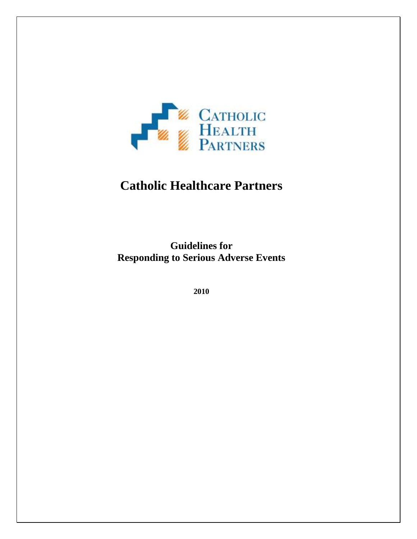

# **Catholic Healthcare Partners**

**Guidelines for Responding to Serious Adverse Events**

**2010**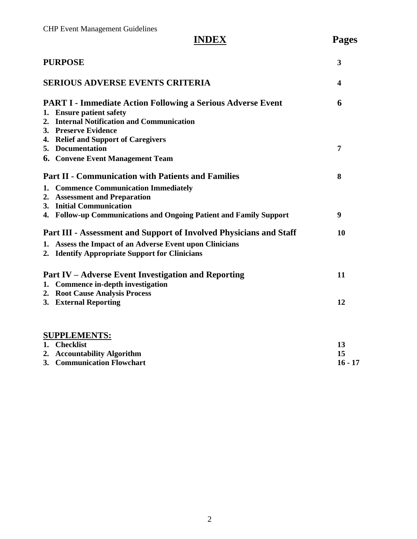# **INDEX Pages**

| <b>PURPOSE</b>                                                     |           |
|--------------------------------------------------------------------|-----------|
| <b>SERIOUS ADVERSE EVENTS CRITERIA</b>                             | 4         |
| <b>PART I - Immediate Action Following a Serious Adverse Event</b> | 6         |
| 1. Ensure patient safety                                           |           |
| 2. Internal Notification and Communication                         |           |
| 3. Preserve Evidence                                               |           |
| 4. Relief and Support of Caregivers                                |           |
| <b>5.</b> Documentation                                            | 7         |
| <b>6. Convene Event Management Team</b>                            |           |
| <b>Part II - Communication with Patients and Families</b>          | 8         |
| 1. Commence Communication Immediately                              |           |
| 2. Assessment and Preparation                                      |           |
| 3. Initial Communication                                           |           |
| 4. Follow-up Communications and Ongoing Patient and Family Support | 9         |
| Part III - Assessment and Support of Involved Physicians and Staff | 10        |
| 1. Assess the Impact of an Adverse Event upon Clinicians           |           |
| 2. Identify Appropriate Support for Clinicians                     |           |
| <b>Part IV – Adverse Event Investigation and Reporting</b>         | 11        |
| 1. Commence in-depth investigation                                 |           |
| 2. Root Cause Analysis Process                                     |           |
| 3. External Reporting                                              | 12        |
|                                                                    |           |
| <b>SUPPLEMENTS:</b>                                                |           |
| 1. Checklist                                                       | 13        |
| 2. Accountability Algorithm                                        | 15        |
| 3. Communication Flowchart                                         | $16 - 17$ |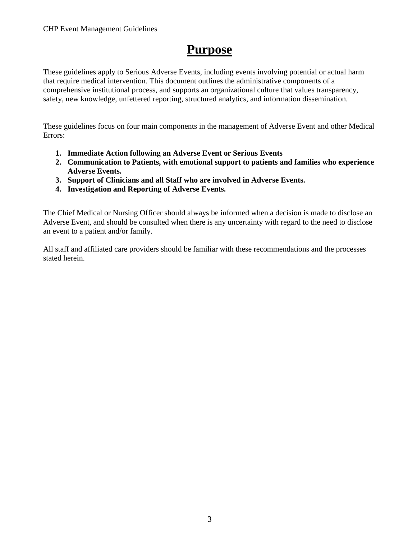# **Purpose**

These guidelines apply to Serious Adverse Events, including events involving potential or actual harm that require medical intervention. This document outlines the administrative components of a comprehensive institutional process, and supports an organizational culture that values transparency, safety, new knowledge, unfettered reporting, structured analytics, and information dissemination.

These guidelines focus on four main components in the management of Adverse Event and other Medical Errors:

- **1. Immediate Action following an Adverse Event or Serious Events**
- **2. Communication to Patients, with emotional support to patients and families who experience Adverse Events.**
- **3. Support of Clinicians and all Staff who are involved in Adverse Events.**
- **4. Investigation and Reporting of Adverse Events.**

The Chief Medical or Nursing Officer should always be informed when a decision is made to disclose an Adverse Event, and should be consulted when there is any uncertainty with regard to the need to disclose an event to a patient and/or family.

All staff and affiliated care providers should be familiar with these recommendations and the processes stated herein.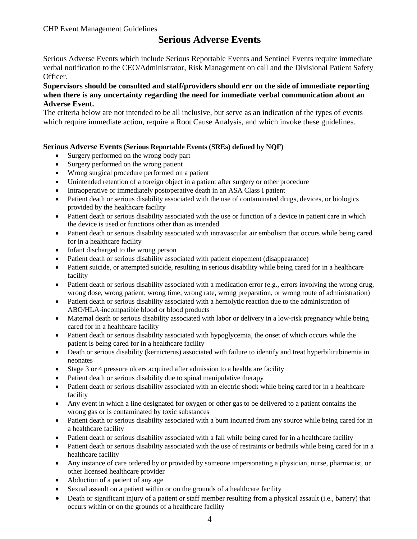### **Serious Adverse Events**

Serious Adverse Events which include Serious Reportable Events and Sentinel Events require immediate verbal notification to the CEO/Administrator, Risk Management on call and the Divisional Patient Safety Officer.

**Supervisors should be consulted and staff/providers should err on the side of immediate reporting when there is any uncertainty regarding the need for immediate verbal communication about an Adverse Event.**

The criteria below are not intended to be all inclusive, but serve as an indication of the types of events which require immediate action, require a Root Cause Analysis, and which invoke these guidelines.

#### **Serious Adverse Events (Serious Reportable Events (SREs) defined by NQF)**

- Surgery performed on the wrong body part
- Surgery performed on the wrong patient
- Wrong surgical procedure performed on a patient
- Unintended retention of a foreign object in a patient after surgery or other procedure
- Intraoperative or immediately postoperative death in an ASA Class I patient
- Patient death or serious disability associated with the use of contaminated drugs, devices, or biologics provided by the healthcare facility
- Patient death or serious disability associated with the use or function of a device in patient care in which the device is used or functions other than as intended
- Patient death or serious disability associated with intravascular air embolism that occurs while being cared for in a healthcare facility
- Infant discharged to the wrong person
- Patient death or serious disability associated with patient elopement (disappearance)
- Patient suicide, or attempted suicide, resulting in serious disability while being cared for in a healthcare facility
- Patient death or serious disability associated with a medication error (e.g., errors involving the wrong drug, wrong dose, wrong patient, wrong time, wrong rate, wrong preparation, or wrong route of administration)
- Patient death or serious disability associated with a hemolytic reaction due to the administration of ABO/HLA-incompatible blood or blood products
- Maternal death or serious disability associated with labor or delivery in a low-risk pregnancy while being cared for in a healthcare facility
- Patient death or serious disability associated with hypoglycemia, the onset of which occurs while the patient is being cared for in a healthcare facility
- Death or serious disability (kernicterus) associated with failure to identify and treat hyperbilirubinemia in neonates
- Stage 3 or 4 pressure ulcers acquired after admission to a healthcare facility
- Patient death or serious disability due to spinal manipulative therapy
- Patient death or serious disability associated with an electric shock while being cared for in a healthcare facility
- Any event in which a line designated for oxygen or other gas to be delivered to a patient contains the wrong gas or is contaminated by toxic substances
- Patient death or serious disability associated with a burn incurred from any source while being cared for in a healthcare facility
- Patient death or serious disability associated with a fall while being cared for in a healthcare facility
- Patient death or serious disability associated with the use of restraints or bedrails while being cared for in a healthcare facility
- Any instance of care ordered by or provided by someone impersonating a physician, nurse, pharmacist, or other licensed healthcare provider
- Abduction of a patient of any age
- Sexual assault on a patient within or on the grounds of a healthcare facility
- Death or significant injury of a patient or staff member resulting from a physical assault (i.e., battery) that occurs within or on the grounds of a healthcare facility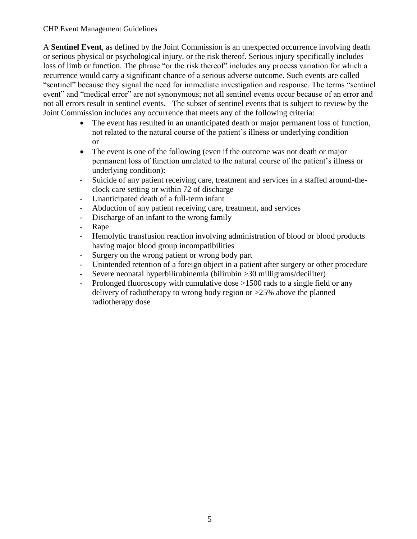A **Sentinel Event**, as defined by the Joint Commission is an unexpected occurrence involving death or serious physical or psychological injury, or the risk thereof. Serious injury specifically includes loss of limb or function. The phrase "or the risk thereof" includes any process variation for which a recurrence would carry a significant chance of a serious adverse outcome. Such events are called "sentinel" because they signal the need for immediate investigation and response. The terms "sentinel event" and "medical error" are not synonymous; not all sentinel events occur because of an error and not all errors result in sentinel events. The subset of sentinel events that is subject to review by the Joint Commission includes any occurrence that meets any of the following criteria:

- The event has resulted in an unanticipated death or major permanent loss of function, not related to the natural course of the patient's illness or underlying condition or
- The event is one of the following (even if the outcome was not death or major permanent loss of function unrelated to the natural course of the patient's illness or underlying condition):
- Suicide of any patient receiving care, treatment and services in a staffed around-theclock care setting or within 72 of discharge
- Unanticipated death of a full-term infant
- Abduction of any patient receiving care, treatment, and services
- Discharge of an infant to the wrong family
- Rape
- Hemolytic transfusion reaction involving administration of blood or blood products having major blood group incompatibilities
- Surgery on the wrong patient or wrong body part
- Unintended retention of a foreign object in a patient after surgery or other procedure
- Severe neonatal hyperbilirubinemia (bilirubin >30 milligrams/deciliter)
- Prolonged fluoroscopy with cumulative dose  $>1500$  rads to a single field or any delivery of radiotherapy to wrong body region or >25% above the planned radiotherapy dose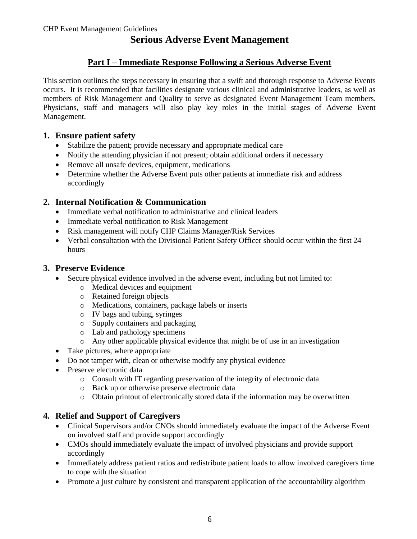## **Serious Adverse Event Management**

#### **Part I – Immediate Response Following a Serious Adverse Event**

This section outlines the steps necessary in ensuring that a swift and thorough response to Adverse Events occurs. It is recommended that facilities designate various clinical and administrative leaders, as well as members of Risk Management and Quality to serve as designated Event Management Team members. Physicians, staff and managers will also play key roles in the initial stages of Adverse Event Management.

#### **1. Ensure patient safety**

- Stabilize the patient; provide necessary and appropriate medical care
- Notify the attending physician if not present; obtain additional orders if necessary
- Remove all unsafe devices, equipment, medications
- Determine whether the Adverse Event puts other patients at immediate risk and address accordingly

#### **2. Internal Notification & Communication**

- Immediate verbal notification to administrative and clinical leaders
- Immediate verbal notification to Risk Management
- Risk management will notify CHP Claims Manager/Risk Services
- Verbal consultation with the Divisional Patient Safety Officer should occur within the first 24 hours

#### **3. Preserve Evidence**

- Secure physical evidence involved in the adverse event, including but not limited to:
	- o Medical devices and equipment
	- o Retained foreign objects
	- o Medications, containers, package labels or inserts
	- o IV bags and tubing, syringes
	- o Supply containers and packaging
	- o Lab and pathology specimens
	- o Any other applicable physical evidence that might be of use in an investigation
- Take pictures, where appropriate
- Do not tamper with, clean or otherwise modify any physical evidence
- Preserve electronic data
	- o Consult with IT regarding preservation of the integrity of electronic data
	- o Back up or otherwise preserve electronic data
	- o Obtain printout of electronically stored data if the information may be overwritten

#### **4. Relief and Support of Caregivers**

- Clinical Supervisors and/or CNOs should immediately evaluate the impact of the Adverse Event on involved staff and provide support accordingly
- CMOs should immediately evaluate the impact of involved physicians and provide support accordingly
- Immediately address patient ratios and redistribute patient loads to allow involved caregivers time to cope with the situation
- Promote a just culture by consistent and transparent application of the accountability algorithm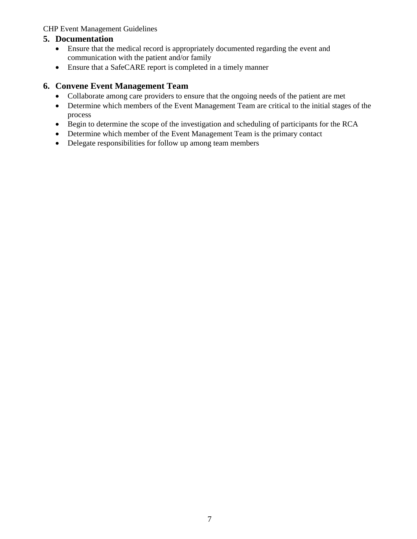#### **5. Documentation**

- Ensure that the medical record is appropriately documented regarding the event and communication with the patient and/or family
- Ensure that a SafeCARE report is completed in a timely manner

#### **6. Convene Event Management Team**

- Collaborate among care providers to ensure that the ongoing needs of the patient are met
- Determine which members of the Event Management Team are critical to the initial stages of the process
- Begin to determine the scope of the investigation and scheduling of participants for the RCA
- Determine which member of the Event Management Team is the primary contact
- Delegate responsibilities for follow up among team members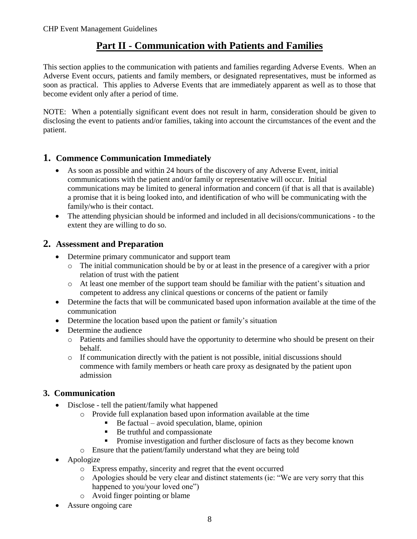## **Part II - Communication with Patients and Families**

This section applies to the communication with patients and families regarding Adverse Events. When an Adverse Event occurs, patients and family members, or designated representatives, must be informed as soon as practical. This applies to Adverse Events that are immediately apparent as well as to those that become evident only after a period of time.

NOTE: When a potentially significant event does not result in harm, consideration should be given to disclosing the event to patients and/or families, taking into account the circumstances of the event and the patient.

#### **1. Commence Communication Immediately**

- As soon as possible and within 24 hours of the discovery of any Adverse Event, initial communications with the patient and/or family or representative will occur. Initial communications may be limited to general information and concern (if that is all that is available) a promise that it is being looked into, and identification of who will be communicating with the family/who is their contact.
- The attending physician should be informed and included in all decisions/communications to the extent they are willing to do so.

#### **2. Assessment and Preparation**

- Determine primary communicator and support team
	- o The initial communication should be by or at least in the presence of a caregiver with a prior relation of trust with the patient
	- o At least one member of the support team should be familiar with the patient's situation and competent to address any clinical questions or concerns of the patient or family
- Determine the facts that will be communicated based upon information available at the time of the communication
- Determine the location based upon the patient or family's situation
- Determine the audience
	- o Patients and families should have the opportunity to determine who should be present on their behalf.
	- $\circ$  If communication directly with the patient is not possible, initial discussions should commence with family members or heath care proxy as designated by the patient upon admission

#### **3. Communication**

- Disclose tell the patient/family what happened
	- o Provide full explanation based upon information available at the time
		- Be factual avoid speculation, blame, opinion
		- Be truthful and compassionate
		- **Promise investigation and further disclosure of facts as they become known**
	- o Ensure that the patient/family understand what they are being told
- Apologize
	- o Express empathy, sincerity and regret that the event occurred
	- o Apologies should be very clear and distinct statements (ie: "We are very sorry that this happened to you/your loved one")
	- o Avoid finger pointing or blame
- Assure ongoing care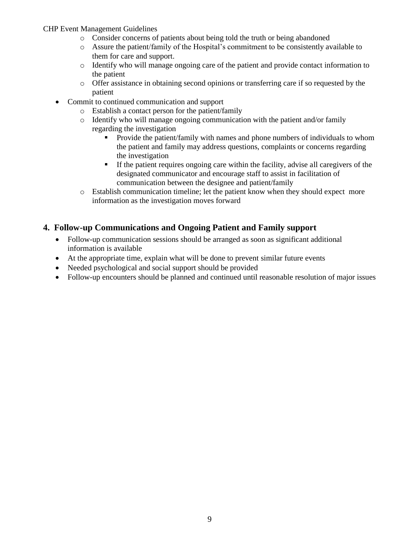- o Consider concerns of patients about being told the truth or being abandoned
- o Assure the patient/family of the Hospital's commitment to be consistently available to them for care and support.
- o Identify who will manage ongoing care of the patient and provide contact information to the patient
- o Offer assistance in obtaining second opinions or transferring care if so requested by the patient
- Commit to continued communication and support
	- o Establish a contact person for the patient/family
	- o Identify who will manage ongoing communication with the patient and/or family regarding the investigation
		- Provide the patient/family with names and phone numbers of individuals to whom the patient and family may address questions, complaints or concerns regarding the investigation
		- If the patient requires ongoing care within the facility, advise all caregivers of the designated communicator and encourage staff to assist in facilitation of communication between the designee and patient/family
	- o Establish communication timeline; let the patient know when they should expect more information as the investigation moves forward

#### **4. Follow-up Communications and Ongoing Patient and Family support**

- Follow-up communication sessions should be arranged as soon as significant additional information is available
- At the appropriate time, explain what will be done to prevent similar future events
- Needed psychological and social support should be provided
- Follow-up encounters should be planned and continued until reasonable resolution of major issues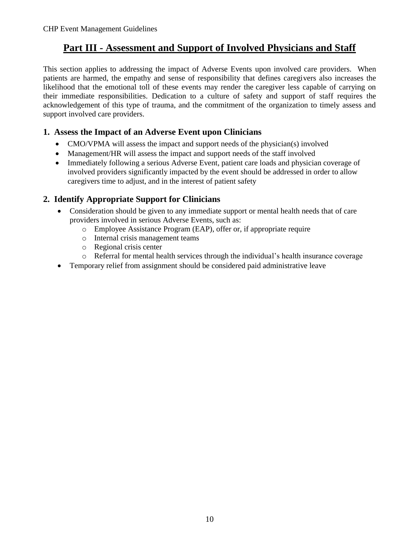## **Part III - Assessment and Support of Involved Physicians and Staff**

This section applies to addressing the impact of Adverse Events upon involved care providers. When patients are harmed, the empathy and sense of responsibility that defines caregivers also increases the likelihood that the emotional toll of these events may render the caregiver less capable of carrying on their immediate responsibilities. Dedication to a culture of safety and support of staff requires the acknowledgement of this type of trauma, and the commitment of the organization to timely assess and support involved care providers.

#### **1. Assess the Impact of an Adverse Event upon Clinicians**

- CMO/VPMA will assess the impact and support needs of the physician(s) involved
- Management/HR will assess the impact and support needs of the staff involved
- Immediately following a serious Adverse Event, patient care loads and physician coverage of involved providers significantly impacted by the event should be addressed in order to allow caregivers time to adjust, and in the interest of patient safety

#### **2. Identify Appropriate Support for Clinicians**

- Consideration should be given to any immediate support or mental health needs that of care providers involved in serious Adverse Events, such as:
	- o Employee Assistance Program (EAP), offer or, if appropriate require
	- o Internal crisis management teams
	- o Regional crisis center
	- o Referral for mental health services through the individual's health insurance coverage
- Temporary relief from assignment should be considered paid administrative leave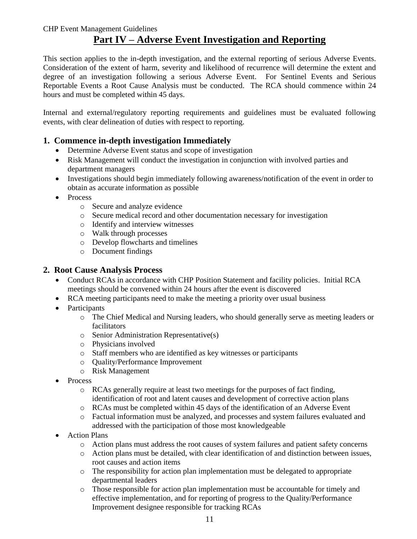#### CHP Event Management Guidelines **Part IV – Adverse Event Investigation and Reporting**

This section applies to the in-depth investigation, and the external reporting of serious Adverse Events. Consideration of the extent of harm, severity and likelihood of recurrence will determine the extent and degree of an investigation following a serious Adverse Event. For Sentinel Events and Serious Reportable Events a Root Cause Analysis must be conducted. The RCA should commence within 24 hours and must be completed within 45 days.

Internal and external/regulatory reporting requirements and guidelines must be evaluated following events, with clear delineation of duties with respect to reporting.

#### **1. Commence in-depth investigation Immediately**

- Determine Adverse Event status and scope of investigation
- Risk Management will conduct the investigation in conjunction with involved parties and department managers
- Investigations should begin immediately following awareness/notification of the event in order to obtain as accurate information as possible
- Process
	- o Secure and analyze evidence
	- o Secure medical record and other documentation necessary for investigation
	- o Identify and interview witnesses
	- o Walk through processes
	- o Develop flowcharts and timelines
	- o Document findings

#### **2. Root Cause Analysis Process**

- Conduct RCAs in accordance with CHP Position Statement and facility policies. Initial RCA meetings should be convened within 24 hours after the event is discovered
- RCA meeting participants need to make the meeting a priority over usual business
- Participants
	- o The Chief Medical and Nursing leaders, who should generally serve as meeting leaders or facilitators
	- o Senior Administration Representative(s)
	- o Physicians involved
	- o Staff members who are identified as key witnesses or participants
	- o Quality/Performance Improvement
	- o Risk Management
- Process
	- o RCAs generally require at least two meetings for the purposes of fact finding, identification of root and latent causes and development of corrective action plans
	- o RCAs must be completed within 45 days of the identification of an Adverse Event
	- o Factual information must be analyzed, and processes and system failures evaluated and addressed with the participation of those most knowledgeable
- Action Plans
	- o Action plans must address the root causes of system failures and patient safety concerns
	- o Action plans must be detailed, with clear identification of and distinction between issues, root causes and action items
	- o The responsibility for action plan implementation must be delegated to appropriate departmental leaders
	- o Those responsible for action plan implementation must be accountable for timely and effective implementation, and for reporting of progress to the Quality/Performance Improvement designee responsible for tracking RCAs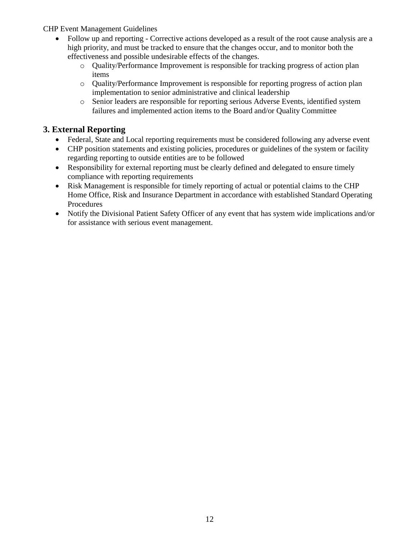- Follow up and reporting Corrective actions developed as a result of the root cause analysis are a high priority, and must be tracked to ensure that the changes occur, and to monitor both the effectiveness and possible undesirable effects of the changes.
	- o Quality/Performance Improvement is responsible for tracking progress of action plan items
	- o Quality/Performance Improvement is responsible for reporting progress of action plan implementation to senior administrative and clinical leadership
	- o Senior leaders are responsible for reporting serious Adverse Events, identified system failures and implemented action items to the Board and/or Quality Committee

#### **3. External Reporting**

- Federal, State and Local reporting requirements must be considered following any adverse event
- CHP position statements and existing policies, procedures or guidelines of the system or facility regarding reporting to outside entities are to be followed
- Responsibility for external reporting must be clearly defined and delegated to ensure timely compliance with reporting requirements
- Risk Management is responsible for timely reporting of actual or potential claims to the CHP Home Office, Risk and Insurance Department in accordance with established Standard Operating Procedures
- Notify the Divisional Patient Safety Officer of any event that has system wide implications and/or for assistance with serious event management.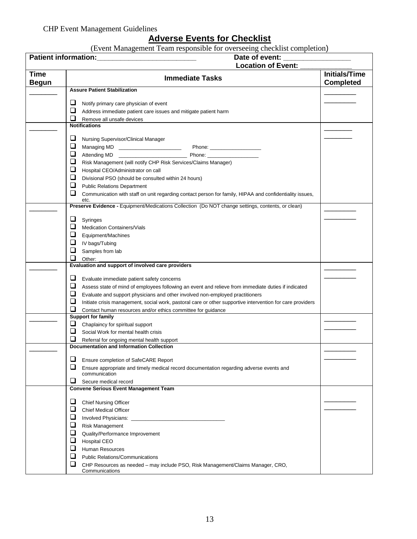#### **Adverse Events for Checklist**

(Event Management Team responsible for overseeing checklist completion)

|                             | <b>Patient information: Example 2018</b>                                                                        |                                          |  |
|-----------------------------|-----------------------------------------------------------------------------------------------------------------|------------------------------------------|--|
|                             | <b>Location of Event:</b>                                                                                       |                                          |  |
| <b>Time</b><br><b>Begun</b> | <b>Immediate Tasks</b>                                                                                          | <b>Initials/Time</b><br><b>Completed</b> |  |
|                             | <b>Assure Patient Stabilization</b>                                                                             |                                          |  |
|                             |                                                                                                                 |                                          |  |
|                             | ❏<br>Notify primary care physician of event                                                                     |                                          |  |
|                             | ❏<br>Address immediate patient care issues and mitigate patient harm                                            |                                          |  |
|                             | Remove all unsafe devices                                                                                       |                                          |  |
|                             | <b>Notifications</b>                                                                                            |                                          |  |
|                             | ⊔<br>Nursing Supervisor/Clinical Manager                                                                        |                                          |  |
|                             | ❏<br>Managing MD ________________________<br>Phone: ______________________                                      |                                          |  |
|                             | ❏                                                                                                               |                                          |  |
|                             | $\Box$<br>Risk Management (will notify CHP Risk Services/Claims Manager)                                        |                                          |  |
|                             | $\Box$<br>Hospital CEO/Administrator on call                                                                    |                                          |  |
|                             | ❏<br>Divisional PSO (should be consulted within 24 hours)                                                       |                                          |  |
|                             | ⊔<br><b>Public Relations Department</b>                                                                         |                                          |  |
|                             | ❏<br>Communication with staff on unit regarding contact person for family, HIPAA and confidentiality issues,    |                                          |  |
|                             | etc.                                                                                                            |                                          |  |
|                             | Preserve Evidence - Equipment/Medications Collection (Do NOT change settings, contents, or clean)               |                                          |  |
|                             |                                                                                                                 |                                          |  |
|                             | ❏<br>Syringes                                                                                                   |                                          |  |
|                             | ❏<br><b>Medication Containers/Vials</b>                                                                         |                                          |  |
|                             | ❏<br>Equipment/Machines                                                                                         |                                          |  |
|                             | ❏<br>IV bags/Tubing                                                                                             |                                          |  |
|                             | ❏<br>Samples from lab                                                                                           |                                          |  |
|                             | ❏<br>Other:                                                                                                     |                                          |  |
|                             | Evaluation and support of involved care providers                                                               |                                          |  |
|                             | ⊔<br>Evaluate immediate patient safety concerns                                                                 |                                          |  |
|                             | ❏<br>Assess state of mind of employees following an event and relieve from immediate duties if indicated        |                                          |  |
|                             | ❏<br>Evaluate and support physicians and other involved non-employed practitioners                              |                                          |  |
|                             | ❏<br>Initiate crisis management, social work, pastoral care or other supportive intervention for care providers |                                          |  |
|                             | ❏<br>Contact human resources and/or ethics committee for guidance                                               |                                          |  |
|                             | <b>Support for family</b>                                                                                       |                                          |  |
|                             | u<br>Chaplaincy for spiritual support                                                                           |                                          |  |
|                             | ❏<br>Social Work for mental health crisis                                                                       |                                          |  |
|                             | ❏<br>Referral for ongoing mental health support                                                                 |                                          |  |
|                             | <b>Documentation and Information Collection</b>                                                                 |                                          |  |
|                             |                                                                                                                 |                                          |  |
|                             | Ensure completion of SafeCARE Report                                                                            |                                          |  |
|                             | Ensure appropriate and timely medical record documentation regarding adverse events and<br>communication        |                                          |  |
|                             | ⊔<br>Secure medical record                                                                                      |                                          |  |
|                             | <b>Convene Serious Event Management Team</b>                                                                    |                                          |  |
|                             |                                                                                                                 |                                          |  |
|                             | ⊔<br><b>Chief Nursing Officer</b>                                                                               |                                          |  |
|                             | ❏<br><b>Chief Medical Officer</b>                                                                               |                                          |  |
|                             | ❏                                                                                                               |                                          |  |
|                             | ❏<br>Risk Management                                                                                            |                                          |  |
|                             | ❏<br>Quality/Performance Improvement                                                                            |                                          |  |
|                             | ⊔<br><b>Hospital CEO</b>                                                                                        |                                          |  |
|                             | ⊔<br>Human Resources                                                                                            |                                          |  |
|                             | ⊔<br><b>Public Relations/Communications</b>                                                                     |                                          |  |
|                             | ❏<br>CHP Resources as needed - may include PSO, Risk Management/Claims Manager, CRO,                            |                                          |  |
|                             | Communications                                                                                                  |                                          |  |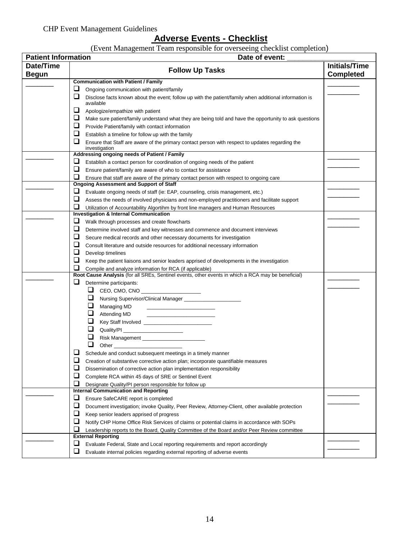#### **Adverse Events - Checklist**

| <b>Patient Information</b> | Date of event:                                                                                                                                                                                                                     |                      |
|----------------------------|------------------------------------------------------------------------------------------------------------------------------------------------------------------------------------------------------------------------------------|----------------------|
| Date/Time                  |                                                                                                                                                                                                                                    | <b>Initials/Time</b> |
| <b>Begun</b>               | <b>Follow Up Tasks</b>                                                                                                                                                                                                             | <b>Completed</b>     |
|                            | <b>Communication with Patient / Family</b>                                                                                                                                                                                         |                      |
|                            | ⊔<br>Ongoing communication with patient/family                                                                                                                                                                                     |                      |
|                            | ⊔<br>Disclose facts known about the event; follow up with the patient/family when additional information is<br>available                                                                                                           |                      |
|                            | ❏<br>Apologize/empathize with patient                                                                                                                                                                                              |                      |
|                            | $\Box$<br>Make sure patient/family understand what they are being told and have the opportunity to ask questions                                                                                                                   |                      |
|                            | ❏<br>Provide Patient/family with contact information                                                                                                                                                                               |                      |
|                            | u<br>Establish a timeline for follow up with the family                                                                                                                                                                            |                      |
|                            | ⊔<br>Ensure that Staff are aware of the primary contact person with respect to updates regarding the<br>investigation                                                                                                              |                      |
|                            | Addressing ongoing needs of Patient / Family                                                                                                                                                                                       |                      |
|                            | ❏<br>Establish a contact person for coordination of ongoing needs of the patient                                                                                                                                                   |                      |
|                            | ❏<br>Ensure patient/family are aware of who to contact for assistance                                                                                                                                                              |                      |
|                            | $\Box$<br>Ensure that staff are aware of the primary contact person with respect to ongoing care                                                                                                                                   |                      |
|                            | <b>Ongoing Assessment and Support of Staff</b>                                                                                                                                                                                     |                      |
|                            | ⊔<br>Evaluate ongoing needs of staff (ie: EAP, counseling, crisis management, etc.)                                                                                                                                                |                      |
|                            | ❏<br>Assess the needs of involved physicians and non-employed practitioners and facilitate support                                                                                                                                 |                      |
|                            | ❏<br>Utilization of Accountability Algortihm by front line managers and Human Resources<br><b>Investigation &amp; Internal Communication</b>                                                                                       |                      |
|                            | ⊔<br>Walk through processes and create flowcharts                                                                                                                                                                                  |                      |
|                            | ❏<br>Determine involved staff and key witnesses and commence and document interviews                                                                                                                                               |                      |
|                            | ❏<br>Secure medical records and other necessary documents for investigation                                                                                                                                                        |                      |
|                            | ❏<br>Consult literature and outside resources for additional necessary information                                                                                                                                                 |                      |
|                            | u<br>Develop timelines                                                                                                                                                                                                             |                      |
|                            | u<br>Keep the patient liaisons and senior leaders apprised of developments in the investigation                                                                                                                                    |                      |
|                            | ❏<br>Compile and analyze information for RCA (if applicable)                                                                                                                                                                       |                      |
|                            | Root Cause Analysis (for all SREs, Sentinel events, other events in which a RCA may be beneficial)                                                                                                                                 |                      |
|                            | u<br>Determine participants:                                                                                                                                                                                                       |                      |
|                            | u<br>CEO, CMO, CNO _______________________                                                                                                                                                                                         |                      |
|                            | ❏                                                                                                                                                                                                                                  |                      |
|                            | ❏<br>Managing MD                                                                                                                                                                                                                   |                      |
|                            | u<br>Attending MD                                                                                                                                                                                                                  |                      |
|                            | ⊔                                                                                                                                                                                                                                  |                      |
|                            | ⊔<br>Quality/PI _________________________                                                                                                                                                                                          |                      |
|                            | ❏                                                                                                                                                                                                                                  |                      |
|                            | ⊔<br>Other and the contract of the contract of the contract of the contract of the contract of the contract of the contract of the contract of the contract of the contract of the contract of the contract of the contract of the |                      |
|                            | Schedule and conduct subsequent meetings in a timely manner                                                                                                                                                                        |                      |
|                            | Creation of substantive corrective action plan; incorporate quantifiable measures<br>⊔                                                                                                                                             |                      |
|                            | ⊔<br>Dissemination of corrective action plan implementation responsibility                                                                                                                                                         |                      |
|                            | u<br>Complete RCA within 45 days of SRE or Sentinel Event                                                                                                                                                                          |                      |
|                            | ❏<br>Designate Quality/PI person responsible for follow up                                                                                                                                                                         |                      |
|                            | <b>Internal Communication and Reporting</b>                                                                                                                                                                                        |                      |
|                            | ❏<br>Ensure SafeCARE report is completed                                                                                                                                                                                           |                      |
|                            | ❏<br>Document investigation; invoke Quality, Peer Review, Attorney-Client, other available protection                                                                                                                              |                      |
|                            | u<br>Keep senior leaders apprised of progress                                                                                                                                                                                      |                      |
|                            | $\sqcup$<br>Notify CHP Home Office Risk Services of claims or potential claims in accordance with SOPs                                                                                                                             |                      |
|                            | ❏<br>Leadership reports to the Board, Quality Committee of the Board and/or Peer Review committee<br><b>External Reporting</b>                                                                                                     |                      |
|                            | ⊔<br>Evaluate Federal, State and Local reporting requirements and report accordingly                                                                                                                                               |                      |
|                            | ❏<br>Evaluate internal policies regarding external reporting of adverse events                                                                                                                                                     |                      |
|                            |                                                                                                                                                                                                                                    |                      |

#### (Event Management Team responsible for overseeing checklist completion)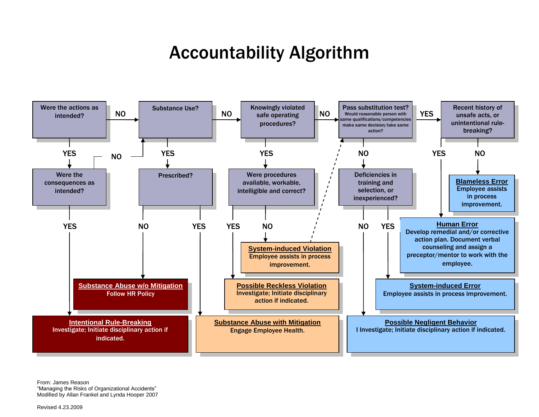# Accountability Algorithm



From: James Reason "Managing the Risks of Organizational Accidents" Modified by Allan Frankel and Lynda Hooper 2007

Revised 4.23.2009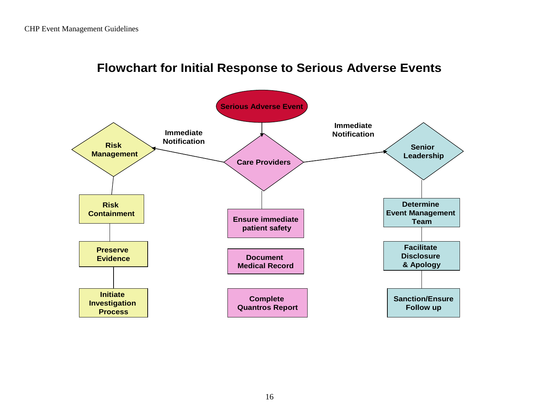

## **Flowchart for Initial Response to Serious Adverse Events**